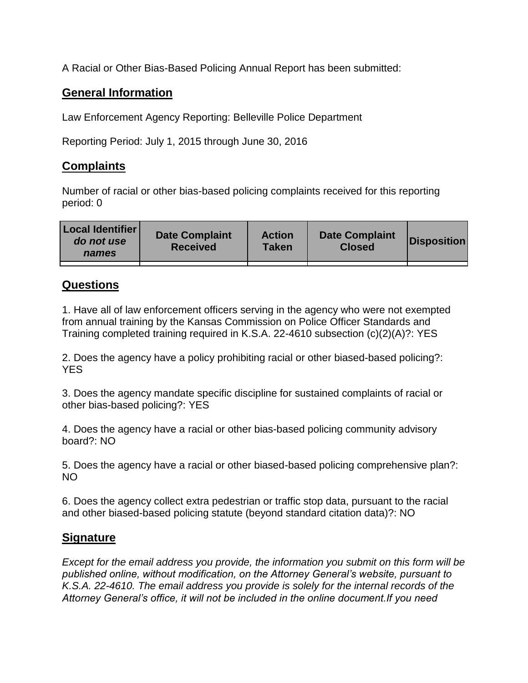A Racial or Other Bias-Based Policing Annual Report has been submitted:

## **General Information**

Law Enforcement Agency Reporting: Belleville Police Department

Reporting Period: July 1, 2015 through June 30, 2016

## **Complaints**

Number of racial or other bias-based policing complaints received for this reporting period: 0

| <b>Local Identifier</b><br>do not use<br>names | <b>Date Complaint</b><br><b>Received</b> | <b>Action</b><br><b>Taken</b> | <b>Date Complaint</b><br><b>Closed</b> | Disposition |
|------------------------------------------------|------------------------------------------|-------------------------------|----------------------------------------|-------------|
|                                                |                                          |                               |                                        |             |

## **Questions**

1. Have all of law enforcement officers serving in the agency who were not exempted from annual training by the Kansas Commission on Police Officer Standards and Training completed training required in K.S.A. 22-4610 subsection (c)(2)(A)?: YES

2. Does the agency have a policy prohibiting racial or other biased-based policing?: YES

3. Does the agency mandate specific discipline for sustained complaints of racial or other bias-based policing?: YES

4. Does the agency have a racial or other bias-based policing community advisory board?: NO

5. Does the agency have a racial or other biased-based policing comprehensive plan?: NO

6. Does the agency collect extra pedestrian or traffic stop data, pursuant to the racial and other biased-based policing statute (beyond standard citation data)?: NO

## **Signature**

*Except for the email address you provide, the information you submit on this form will be published online, without modification, on the Attorney General's website, pursuant to K.S.A. 22-4610. The email address you provide is solely for the internal records of the Attorney General's office, it will not be included in the online document.If you need*